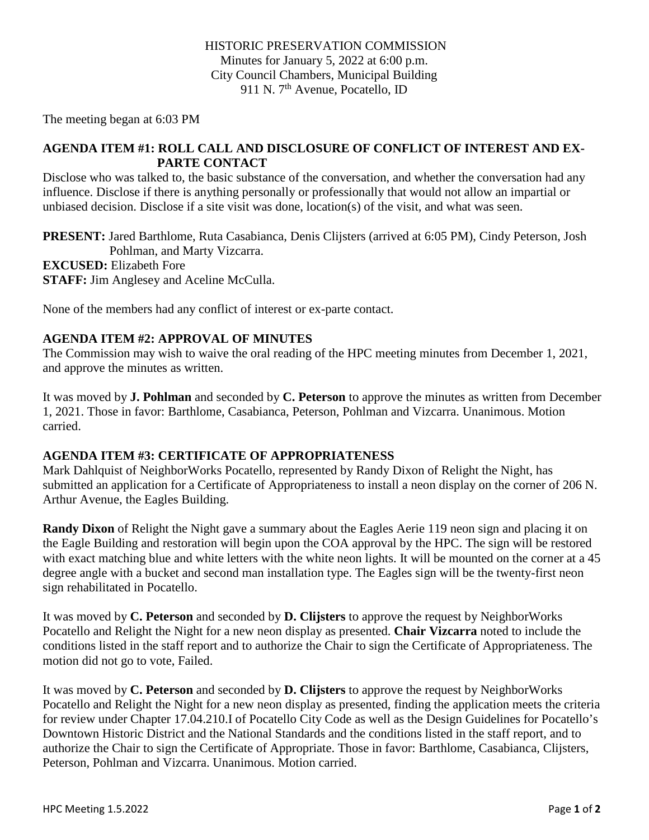The meeting began at 6:03 PM

### **AGENDA ITEM #1: ROLL CALL AND DISCLOSURE OF CONFLICT OF INTEREST AND EX-PARTE CONTACT**

Disclose who was talked to, the basic substance of the conversation, and whether the conversation had any influence. Disclose if there is anything personally or professionally that would not allow an impartial or unbiased decision. Disclose if a site visit was done, location(s) of the visit, and what was seen.

**PRESENT:** Jared Barthlome, Ruta Casabianca, Denis Clijsters (arrived at 6:05 PM), Cindy Peterson, Josh Pohlman, and Marty Vizcarra.

**EXCUSED:** Elizabeth Fore

**STAFF:** Jim Anglesey and Aceline McCulla.

None of the members had any conflict of interest or ex-parte contact.

# **AGENDA ITEM #2: APPROVAL OF MINUTES**

The Commission may wish to waive the oral reading of the HPC meeting minutes from December 1, 2021, and approve the minutes as written.

It was moved by **J. Pohlman** and seconded by **C. Peterson** to approve the minutes as written from December 1, 2021. Those in favor: Barthlome, Casabianca, Peterson, Pohlman and Vizcarra. Unanimous. Motion carried.

# **AGENDA ITEM #3: CERTIFICATE OF APPROPRIATENESS**

Mark Dahlquist of NeighborWorks Pocatello, represented by Randy Dixon of Relight the Night, has submitted an application for a Certificate of Appropriateness to install a neon display on the corner of 206 N. Arthur Avenue, the Eagles Building.

**Randy Dixon** of Relight the Night gave a summary about the Eagles Aerie 119 neon sign and placing it on the Eagle Building and restoration will begin upon the COA approval by the HPC. The sign will be restored with exact matching blue and white letters with the white neon lights. It will be mounted on the corner at a 45 degree angle with a bucket and second man installation type. The Eagles sign will be the twenty-first neon sign rehabilitated in Pocatello.

It was moved by **C. Peterson** and seconded by **D. Clijsters** to approve the request by NeighborWorks Pocatello and Relight the Night for a new neon display as presented. **Chair Vizcarra** noted to include the conditions listed in the staff report and to authorize the Chair to sign the Certificate of Appropriateness. The motion did not go to vote, Failed.

It was moved by **C. Peterson** and seconded by **D. Clijsters** to approve the request by NeighborWorks Pocatello and Relight the Night for a new neon display as presented, finding the application meets the criteria for review under Chapter 17.04.210.I of Pocatello City Code as well as the Design Guidelines for Pocatello's Downtown Historic District and the National Standards and the conditions listed in the staff report, and to authorize the Chair to sign the Certificate of Appropriate. Those in favor: Barthlome, Casabianca, Clijsters, Peterson, Pohlman and Vizcarra. Unanimous. Motion carried.